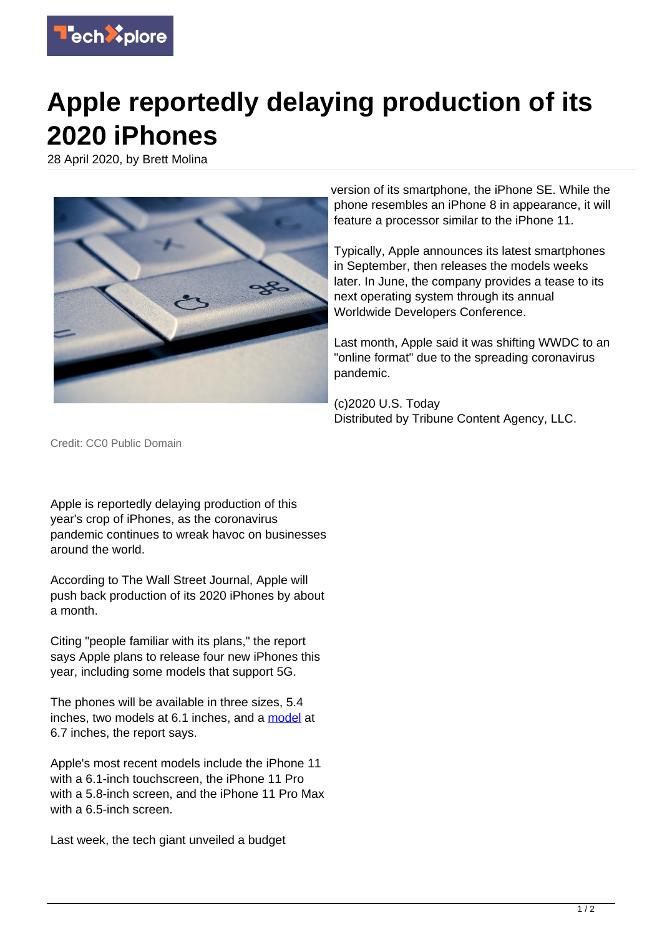

## **Apple reportedly delaying production of its 2020 iPhones**

28 April 2020, by Brett Molina



version of its smartphone, the iPhone SE. While the phone resembles an iPhone 8 in appearance, it will feature a processor similar to the iPhone 11.

Typically, Apple announces its latest smartphones in September, then releases the models weeks later. In June, the company provides a tease to its next operating system through its annual Worldwide Developers Conference.

Last month, Apple said it was shifting WWDC to an "online format" due to the spreading coronavirus pandemic.

(c)2020 U.S. Today Distributed by Tribune Content Agency, LLC.

Credit: CC0 Public Domain

Apple is reportedly delaying production of this year's crop of iPhones, as the coronavirus pandemic continues to wreak havoc on businesses around the world.

According to The Wall Street Journal, Apple will push back production of its 2020 iPhones by about a month.

Citing "people familiar with its plans," the report says Apple plans to release four new iPhones this year, including some models that support 5G.

The phones will be available in three sizes, 5.4 inches, two models at 6.1 inches, and a [model](https://techxplore.com/tags/model/) at 6.7 inches, the report says.

Apple's most recent models include the iPhone 11 with a 6.1-inch touchscreen, the iPhone 11 Pro with a 5.8-inch screen, and the iPhone 11 Pro Max with a 6.5-inch screen.

Last week, the tech giant unveiled a budget